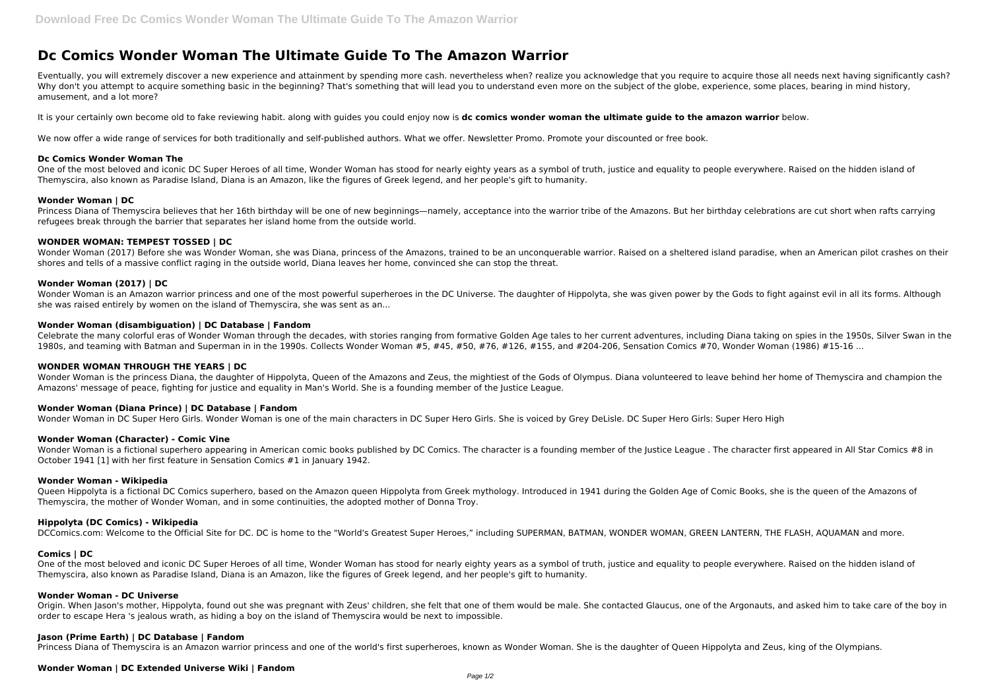# **Dc Comics Wonder Woman The Ultimate Guide To The Amazon Warrior**

Eventually, you will extremely discover a new experience and attainment by spending more cash. nevertheless when? realize you acknowledge that you require to acquire those all needs next having significantly cash? Why don't you attempt to acquire something basic in the beginning? That's something that will lead you to understand even more on the subject of the globe, experience, some places, bearing in mind history, amusement, and a lot more?

One of the most beloved and iconic DC Super Heroes of all time, Wonder Woman has stood for nearly eighty years as a symbol of truth, justice and equality to people everywhere. Raised on the hidden island of Themyscira, also known as Paradise Island, Diana is an Amazon, like the figures of Greek legend, and her people's gift to humanity.

It is your certainly own become old to fake reviewing habit. along with guides you could enjoy now is **dc comics wonder woman the ultimate guide to the amazon warrior** below.

We now offer a wide range of services for both traditionally and self-published authors. What we offer. Newsletter Promo. Promote your discounted or free book.

#### **Dc Comics Wonder Woman The**

Wonder Woman is an Amazon warrior princess and one of the most powerful superheroes in the DC Universe. The daughter of Hippolyta, she was given power by the Gods to fight against evil in all its forms. Although she was raised entirely by women on the island of Themyscira, she was sent as an...

Celebrate the many colorful eras of Wonder Woman through the decades, with stories ranging from formative Golden Age tales to her current adventures, including Diana taking on spies in the 1950s, Silver Swan in the 1980s, and teaming with Batman and Superman in in the 1990s. Collects Wonder Woman #5, #45, #50, #76, #126, #155, and #204-206, Sensation Comics #70, Wonder Woman (1986) #15-16 ...

#### **Wonder Woman | DC**

Princess Diana of Themyscira believes that her 16th birthday will be one of new beginnings—namely, acceptance into the warrior tribe of the Amazons. But her birthday celebrations are cut short when rafts carrying refugees break through the barrier that separates her island home from the outside world.

## **WONDER WOMAN: TEMPEST TOSSED | DC**

Wonder Woman (2017) Before she was Wonder Woman, she was Diana, princess of the Amazons, trained to be an unconquerable warrior. Raised on a sheltered island paradise, when an American pilot crashes on their shores and tells of a massive conflict raging in the outside world, Diana leaves her home, convinced she can stop the threat.

Wonder Woman is a fictional superhero appearing in American comic books published by DC Comics. The character is a founding member of the Justice League . The character first appeared in All Star Comics #8 in October 1941 [1] with her first feature in Sensation Comics #1 in January 1942.

#### **Wonder Woman (2017) | DC**

One of the most beloved and iconic DC Super Heroes of all time. Wonder Woman has stood for nearly eighty years as a symbol of truth, justice and equality to people everywhere. Raised on the hidden island of Themyscira, also known as Paradise Island, Diana is an Amazon, like the figures of Greek legend, and her people's gift to humanity.

#### **Wonder Woman (disambiguation) | DC Database | Fandom**

## **WONDER WOMAN THROUGH THE YEARS | DC**

Wonder Woman is the princess Diana, the daughter of Hippolyta, Queen of the Amazons and Zeus, the mightiest of the Gods of Olympus. Diana volunteered to leave behind her home of Themyscira and champion the Amazons' message of peace, fighting for justice and equality in Man's World. She is a founding member of the Justice League.

## **Wonder Woman (Diana Prince) | DC Database | Fandom**

Wonder Woman in DC Super Hero Girls. Wonder Woman is one of the main characters in DC Super Hero Girls. She is voiced by Grey DeLisle. DC Super Hero Girls: Super Hero High

#### **Wonder Woman (Character) - Comic Vine**

## **Wonder Woman - Wikipedia**

Queen Hippolyta is a fictional DC Comics superhero, based on the Amazon queen Hippolyta from Greek mythology. Introduced in 1941 during the Golden Age of Comic Books, she is the queen of the Amazons of Themyscira, the mother of Wonder Woman, and in some continuities, the adopted mother of Donna Troy.

#### **Hippolyta (DC Comics) - Wikipedia**

DCComics.com: Welcome to the Official Site for DC. DC is home to the "World's Greatest Super Heroes," including SUPERMAN, BATMAN, WONDER WOMAN, GREEN LANTERN, THE FLASH, AQUAMAN and more.

## **Comics | DC**

#### **Wonder Woman - DC Universe**

Origin. When Jason's mother, Hippolyta, found out she was pregnant with Zeus' children, she felt that one of them would be male. She contacted Glaucus, one of the Argonauts, and asked him to take care of the boy in order to escape Hera 's jealous wrath, as hiding a boy on the island of Themyscira would be next to impossible.

## **Jason (Prime Earth) | DC Database | Fandom**

Princess Diana of Themyscira is an Amazon warrior princess and one of the world's first superheroes, known as Wonder Woman. She is the daughter of Queen Hippolyta and Zeus, king of the Olympians.

## **Wonder Woman | DC Extended Universe Wiki | Fandom**